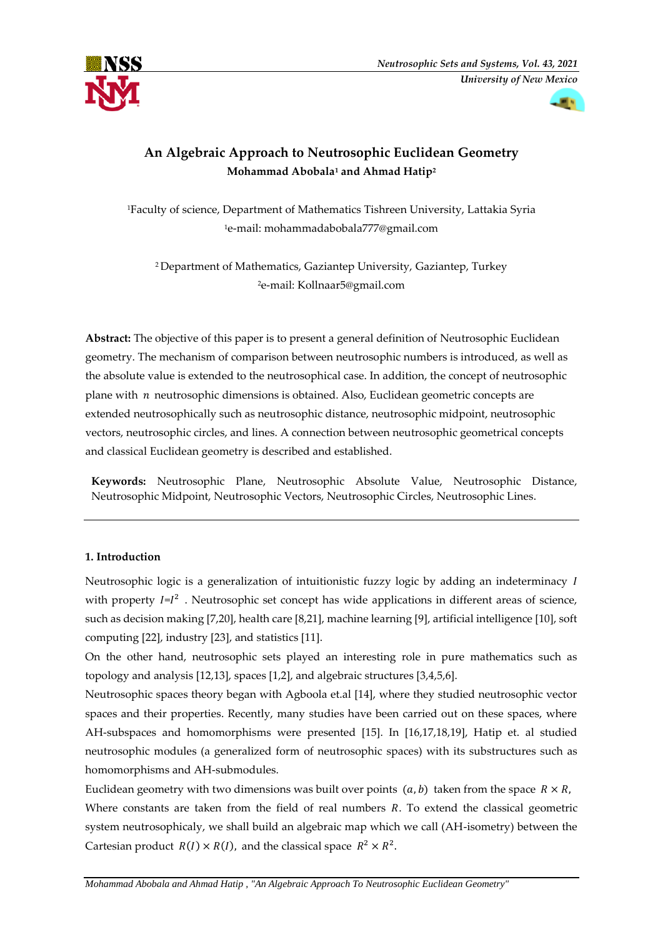



# **An Algebraic Approach to Neutrosophic Euclidean Geometry Mohammad Abobala<sup>1</sup> and Ahmad Hatip<sup>2</sup>**

<sup>1</sup>Faculty of science, Department of Mathematics Tishreen University, Lattakia Syria <sup>1</sup>e-mail: mohammadabobala777@gmail.com

<sup>2</sup>Department of Mathematics, Gaziantep University, Gaziantep, Turkey <sup>2</sup>e-mail: Kollnaar5@gmail.com

**Abstract:** The objective of this paper is to present a general definition of Neutrosophic Euclidean geometry. The mechanism of comparison between neutrosophic numbers is introduced, as well as the absolute value is extended to the neutrosophical case. In addition, the concept of neutrosophic plane with  $n$  neutrosophic dimensions is obtained. Also, Euclidean geometric concepts are extended neutrosophically such as neutrosophic distance, neutrosophic midpoint, neutrosophic vectors, neutrosophic circles, and lines. A connection between neutrosophic geometrical concepts and classical Euclidean geometry is described and established.

**Keywords:** Neutrosophic Plane, Neutrosophic Absolute Value, Neutrosophic Distance, Neutrosophic Midpoint, Neutrosophic Vectors, Neutrosophic Circles, Neutrosophic Lines.

## **1. Introduction**

Neutrosophic logic is a generalization of intuitionistic fuzzy logic by adding an indeterminacy  $I$ with property  $I = I^2$ . Neutrosophic set concept has wide applications in different areas of science, such as decision making [7,20], health care [8,21], machine learning [9], artificial intelligence [10], soft computing [22], industry [23], and statistics [11].

On the other hand, neutrosophic sets played an interesting role in pure mathematics such as topology and analysis [12,13], spaces [1,2], and algebraic structures [3,4,5,6].

Neutrosophic spaces theory began with Agboola et.al [14], where they studied neutrosophic vector spaces and their properties. Recently, many studies have been carried out on these spaces, where AH-subspaces and homomorphisms were presented [15]. In [16,17,18,19], Hatip et. al studied neutrosophic modules (a generalized form of neutrosophic spaces) with its substructures such as homomorphisms and AH-submodules.

Euclidean geometry with two dimensions was built over points  $(a, b)$  taken from the space  $R \times R$ , Where constants are taken from the field of real numbers  $R$ . To extend the classical geometric system neutrosophicaly, we shall build an algebraic map which we call (AH-isometry) between the Cartesian product  $R(I) \times R(I)$ , and the classical space  $R^2 \times R^2$ .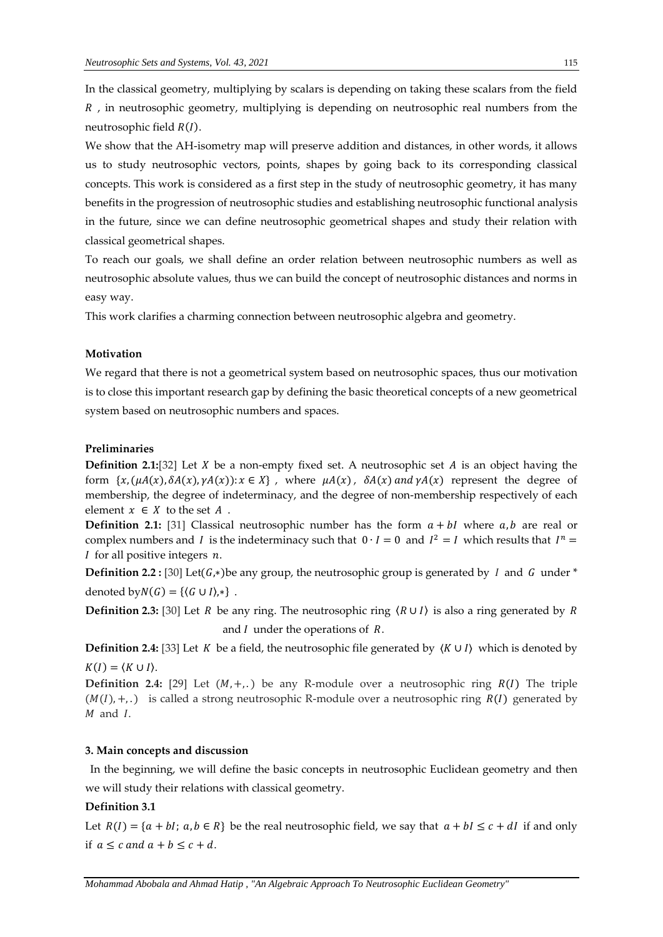In the classical geometry, multiplying by scalars is depending on taking these scalars from the field , in neutrosophic geometry, multiplying is depending on neutrosophic real numbers from the neutrosophic field  $R(I)$ .

We show that the AH-isometry map will preserve addition and distances, in other words, it allows us to study neutrosophic vectors, points, shapes by going back to its corresponding classical concepts. This work is considered as a first step in the study of neutrosophic geometry, it has many benefits in the progression of neutrosophic studies and establishing neutrosophic functional analysis in the future, since we can define neutrosophic geometrical shapes and study their relation with classical geometrical shapes.

To reach our goals, we shall define an order relation between neutrosophic numbers as well as neutrosophic absolute values, thus we can build the concept of neutrosophic distances and norms in easy way.

This work clarifies a charming connection between neutrosophic algebra and geometry.

## **Motivation**

We regard that there is not a geometrical system based on neutrosophic spaces, thus our motivation is to close this important research gap by defining the basic theoretical concepts of a new geometrical system based on neutrosophic numbers and spaces.

## **Preliminaries**

**Definition 2.1:**[32] Let  $X$  be a non-empty fixed set. A neutrosophic set  $A$  is an object having the form  $\{x, (\mu A(x), \delta A(x), \gamma A(x)) : x \in X\}$ , where  $\mu A(x)$ ,  $\delta A(x)$  and  $\gamma A(x)$  represent the degree of membership, the degree of indeterminacy, and the degree of non-membership respectively of each element  $x \in X$  to the set  $A$ .

**Definition 2.1:** [31] Classical neutrosophic number has the form  $a + bl$  where  $a, b$  are real or complex numbers and *I* is the indeterminacy such that  $0 \cdot I = 0$  and  $I^2 = I$  which results that  $I^n =$  $I$  for all positive integers  $n$ .

**Definition 2.2 :** [30] Let( $G$ ,\*)be any group, the neutrosophic group is generated by  $I$  and  $G$  under \* denoted by  $N(G) = \{(G \cup I), *\}$ .

**Definition 2.3:** [30] Let *R* be any ring. The neutrosophic ring  $\langle R \cup I \rangle$  is also a ring generated by *R* and  $I$  under the operations of  $R$ .

**Definition 2.4:** [33] Let  $K$  be a field, the neutrosophic file generated by  $\langle K \cup I \rangle$  which is denoted by  $K(I) = \langle K \cup I \rangle$ .

**Definition 2.4:** [29] Let  $(M, +, .)$  be any R-module over a neutrosophic ring  $R(I)$  The triple  $(M(I), +, .)$  is called a strong neutrosophic R-module over a neutrosophic ring  $R(I)$  generated by  $M$  and  $I$ .

### **3. Main concepts and discussion**

In the beginning, we will define the basic concepts in neutrosophic Euclidean geometry and then we will study their relations with classical geometry.

## **Definition 3.1**

Let  $R(I) = \{a + bl; a, b \in R\}$  be the real neutrosophic field, we say that  $a + bl \leq c + dl$  if and only if  $a \leq c$  and  $a + b \leq c + d$ .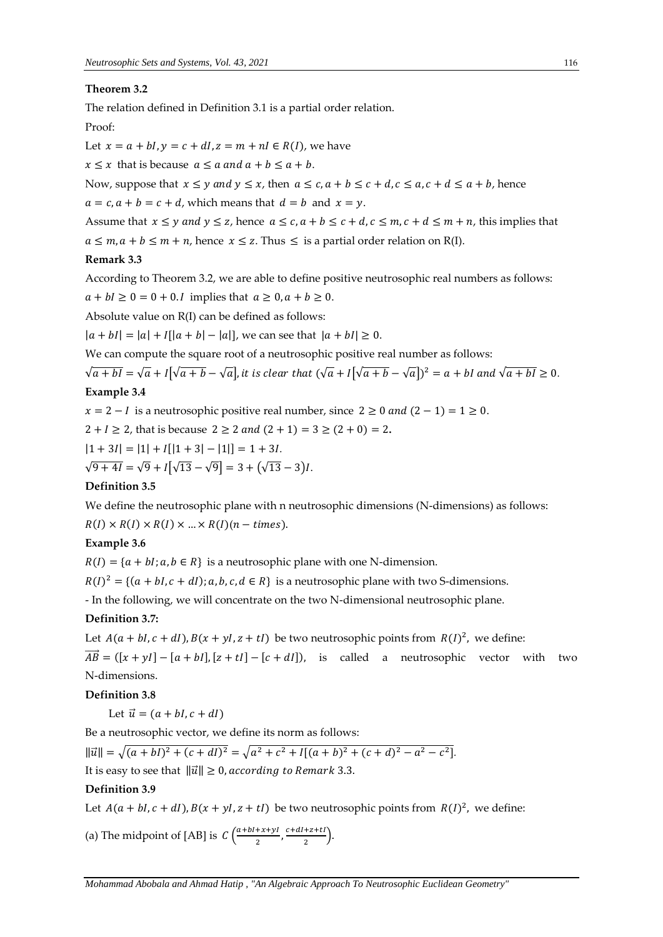### **Theorem 3.2**

The relation defined in Definition 3.1 is a partial order relation.

Proof:

Let  $x = a + bI$ ,  $y = c + dI$ ,  $z = m + nI \in R(I)$ , we have

 $x \leq x$  that is because  $a \leq a$  and  $a + b \leq a + b$ .

Now, suppose that  $x \le y$  and  $y \le x$ , then  $a \le c, a + b \le c + d, c \le a, c + d \le a + b$ , hence

 $a = c, a + b = c + d$ , which means that  $d = b$  and  $x = v$ .

Assume that  $x \le y$  and  $y \le z$ , hence  $a \le c$ ,  $a + b \le c + d$ ,  $c \le m$ ,  $c + d \le m + n$ , this implies that  $a \leq m, a + b \leq m + n$ , hence  $x \leq z$ . Thus  $\leq$  is a partial order relation on R(I).

#### **Remark 3.3**

According to Theorem 3.2, we are able to define positive neutrosophic real numbers as follows:

 $a + bI \ge 0 = 0 + 0$ . I implies that  $a \ge 0$ ,  $a + b \ge 0$ .

Absolute value on R(I) can be defined as follows:

 $|a + bI| = |a| + |I||a + b| - |a||$ , we can see that  $|a + bI| \ge 0$ .

We can compute the square root of a neutrosophic positive real number as follows:

 $\sqrt{a + bI} = \sqrt{a} + I[\sqrt{a + b} - \sqrt{a}],$  it is clear that  $(\sqrt{a} + I[\sqrt{a + b} - \sqrt{a}])^2 = a + bl$  and  $\sqrt{a + bl} \ge 0$ . **Example 3.4**

 $x = 2 - I$  is a neutrosophic positive real number, since  $2 \ge 0$  and  $(2 - 1) = 1 \ge 0$ .

 $2 + I \ge 2$ , that is because  $2 \ge 2$  *and*  $(2 + 1) = 3 \ge (2 + 0) = 2$ .

 $|1 + 3I| = |1| + I[|1 + 3| - |1|] = 1 + 3I.$ 

 $\sqrt{9+4I} = \sqrt{9} + I[\sqrt{13} - \sqrt{9}] = 3 + (\sqrt{13} - 3)I.$ 

## **Definition 3.5**

We define the neutrosophic plane with n neutrosophic dimensions (N-dimensions) as follows:

 $R(I) \times R(I) \times R(I) \times ... \times R(I)(n-times).$ 

## **Example 3.6**

 $R(I) = \{a + bl; a, b \in R\}$  is a neutrosophic plane with one N-dimension.

 $R(I)^2 = \{(a + bl, c + dl); a, b, c, d \in R\}$  is a neutrosophic plane with two S-dimensions.

- In the following, we will concentrate on the two N-dimensional neutrosophic plane.

## **Definition 3.7:**

Let  $A(a + bI, c + dI), B(x + yI, z + tI)$  be two neutrosophic points from  $R(I)^2$ , we define:

 $\overrightarrow{AB} = (\overrightarrow{x} + \overrightarrow{y} - \overrightarrow{a} + \overrightarrow{b})$ ,  $\overrightarrow{z} = (x + yI) - (a + bl)$ ,  $\overrightarrow{z} = (c + dl)$ , is called a neutrosophic vector with two N-dimensions.

#### **Definition 3.8**

Let  $\vec{u} = (a + bl, c + dl)$ 

Be a neutrosophic vector, we define its norm as follows:

 $\|\vec{u}\| = \sqrt{(a+bl)^2 + (c+dl)^2} = \sqrt{a^2+c^2 + I[(a+b)^2 + (c+d)^2 - a^2 - c^2]}$ It is easy to see that  $\|\vec{u}\| \ge 0$ , according to Remark 3.3.

#### **Definition 3.9**

Let  $A(a + bI, c + dI), B(x + yI, z + tI)$  be two neutrosophic points from  $R(I)^2$ , we define:

(a) The midpoint of [AB] is  $C\left(\frac{a+bI+x+yl}{2}\right)$  $\frac{+x+yl}{2}$ ,  $\frac{c+dl+z+tl}{2}$  $\frac{1}{2}$ ).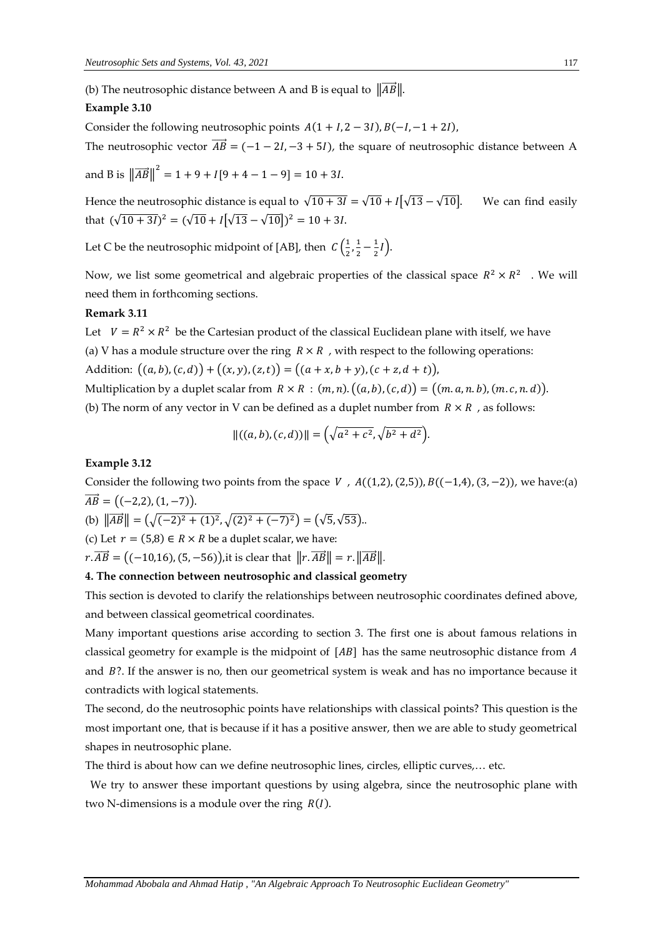(b) The neutrosophic distance between A and B is equal to  $\|AB\|$ .

#### **Example 3.10**

Consider the following neutrosophic points  $A(1 + I, 2 - 3I), B(-I, -1 + 2I)$ ,

The neutrosophic vector  $\overrightarrow{AB}$  = (-1 – 2*I*, –3 + 5*I*), the square of neutrosophic distance between A

and B is  $\left\| \overrightarrow{AB} \right\|^2 = 1 + 9 + I[9 + 4 - 1 - 9] = 10 + 3I.$ 

Hence the neutrosophic distance is equal to  $\sqrt{10+3I} = \sqrt{10} + I[\sqrt{13}-\sqrt{10}]$ . We can find easily that  $(\sqrt{10+3I})^2 = (\sqrt{10}+I\sqrt{13}-\sqrt{10})^2 = 10+3I$ .

Let C be the neutrosophic midpoint of [AB], then  $C\left(\frac{1}{2}\right)$  $\frac{1}{2}, \frac{1}{2}$  $\frac{1}{2} - \frac{1}{2}$  $\frac{1}{2}I$ ).

Now, we list some geometrical and algebraic properties of the classical space  $R^2 \times R^2$ . We will need them in forthcoming sections.

## **Remark 3.11**

Let  $V = R^2 \times R^2$  be the Cartesian product of the classical Euclidean plane with itself, we have (a) V has a module structure over the ring  $R \times R$ , with respect to the following operations: Addition:  $((a, b), (c, d)) + ((x, y), (z, t)) = ((a + x, b + y), (c + z, d + t)),$ 

Multiplication by a duplet scalar from  $R \times R$ :  $(m, n)$ .  $((a, b), (c, d)) = ((m, a, n, b), (m, c, n, d))$ .

(b) The norm of any vector in V can be defined as a duplet number from  $R \times R$ , as follows:

$$
\|((a,b),(c,d))\| = \left(\sqrt{a^2+c^2}, \sqrt{b^2+d^2}\right).
$$

#### **Example 3.12**

Consider the following two points from the space  $V$ ,  $A((1,2),(2,5))$ ,  $B((-1,4),(3,-2))$ , we have:(a)  $\overrightarrow{AB} = ((-2,2),(1,-7)).$ 

(b) 
$$
\|\overrightarrow{AB}\| = (\sqrt{(-2)^2 + (1)^2}, \sqrt{(2)^2 + (-7)^2}) = (\sqrt{5}, \sqrt{53}).
$$

(c) Let  $r = (5,8) \in R \times R$  be a duplet scalar, we have:

 $r.\overrightarrow{AB} = ((-10.16), (5, -56))$ , it is clear that  $||r.\overrightarrow{AB}|| = r. ||\overrightarrow{AB}||$ .

#### **4. The connection between neutrosophic and classical geometry**

This section is devoted to clarify the relationships between neutrosophic coordinates defined above, and between classical geometrical coordinates.

Many important questions arise according to section 3. The first one is about famous relations in classical geometry for example is the midpoint of  $[AB]$  has the same neutrosophic distance from  $A$ and  $B$ ?. If the answer is no, then our geometrical system is weak and has no importance because it contradicts with logical statements.

The second, do the neutrosophic points have relationships with classical points? This question is the most important one, that is because if it has a positive answer, then we are able to study geometrical shapes in neutrosophic plane.

The third is about how can we define neutrosophic lines, circles, elliptic curves,… etc.

We try to answer these important questions by using algebra, since the neutrosophic plane with two N-dimensions is a module over the ring  $R(I)$ .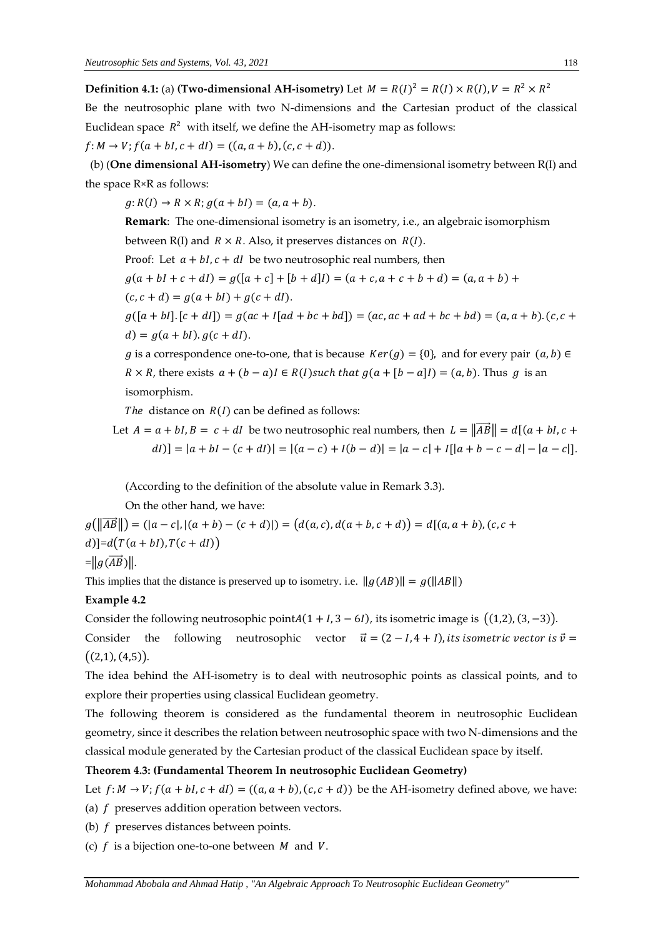**Definition 4.1:** (a) (Two-dimensional AH-isometry) Let  $M = R(I)^2 = R(I) \times R(I)$ ,  $V = R^2 \times R^2$ Be the neutrosophic plane with two N-dimensions and the Cartesian product of the classical Euclidean space  $R^2$  with itself, we define the AH-isometry map as follows:

 $f: M \to V$ ;  $f(a + bI, c + dI) = ((a, a + b), (c, c + d)).$ 

(b) (**One dimensional AH-isometry**) We can define the one-dimensional isometry between R(I) and the space R×R as follows:

 $g: R(I) \rightarrow R \times R$ ;  $g(a + bI) = (a, a + b)$ .

**Remark:** The one-dimensional isometry is an isometry, i.e., an algebraic isomorphism between R(I) and  $R \times R$ . Also, it preserves distances on  $R(I)$ . Proof: Let  $a + bI$ ,  $c + dI$  be two neutrosophic real numbers, then  $g(a + bl + c + dl) = g([a + c] + [b + d]I) = (a + c, a + c + b + d) = (a, a + b) +$  $(c, c + d) = g(a + bI) + g(c + dI).$  $g([a + bl], [c + dl]) = g(ac + I[ad + bc + bd]) = (ac, ac + ad + bc + bd) = (a, a + b) \cdot (c, c + b)$  $d) = g(a + bI) \cdot g(c + dI).$ 

g is a correspondence one-to-one, that is because  $Ker(g) = \{0\}$ , and for every pair  $(a, b) \in$  $R \times R$ , there exists  $a + (b - a)I \in R(I)$  such that  $g(a + [b - a]I) = (a, b)$ . Thus g is an isomorphism.

The distance on  $R(I)$  can be defined as follows:

Let  $A = a + bI$ ,  $B = c + dI$  be two neutrosophic real numbers, then  $L = ||\overrightarrow{AB}|| = d[(a + bI, c + bI, dA)]$  $|dI| = |a + bI - (c + dI)| = |(a - c) + I(b - d)| = |a - c| + I||a + b - c - d| - |a - c|$ .

(According to the definition of the absolute value in Remark 3.3).

On the other hand, we have:

 $g(||\overline{AB}||) = (|a-c|, |(a+b)-(c+d)|) = (d(a,c), d(a+b,c+d)) = d[(a,a+b), (c, c+d)]$  $(d)$ ]=d(T(a + bI), T(c + dI))

$$
=\left\|g(\overrightarrow{AB})\right\|.
$$

This implies that the distance is preserved up to isometry. i.e.  $||g(AB)|| = g(||AB||)$ 

### **Example 4.2**

Consider the following neutrosophic point $A(1 + I, 3 - 6I)$ , its isometric image is  $((1,2), (3,-3))$ .

Consider the following neutrosophic vector  $\vec{u} = (2 - I, 4 + I)$ , its isometric vector is  $\vec{v} =$  $((2,1),(4,5))$ .

The idea behind the AH-isometry is to deal with neutrosophic points as classical points, and to explore their properties using classical Euclidean geometry.

The following theorem is considered as the fundamental theorem in neutrosophic Euclidean geometry, since it describes the relation between neutrosophic space with two N-dimensions and the classical module generated by the Cartesian product of the classical Euclidean space by itself.

#### **Theorem 4.3: (Fundamental Theorem In neutrosophic Euclidean Geometry)**

Let  $f: M \to V$ ;  $f(a + bl, c + dl) = ((a, a + b), (c, c + d))$  be the AH-isometry defined above, we have:

(a)  $f$  preserves addition operation between vectors.

(b)  $f$  preserves distances between points.

(c)  $f$  is a bijection one-to-one between  $M$  and  $V$ .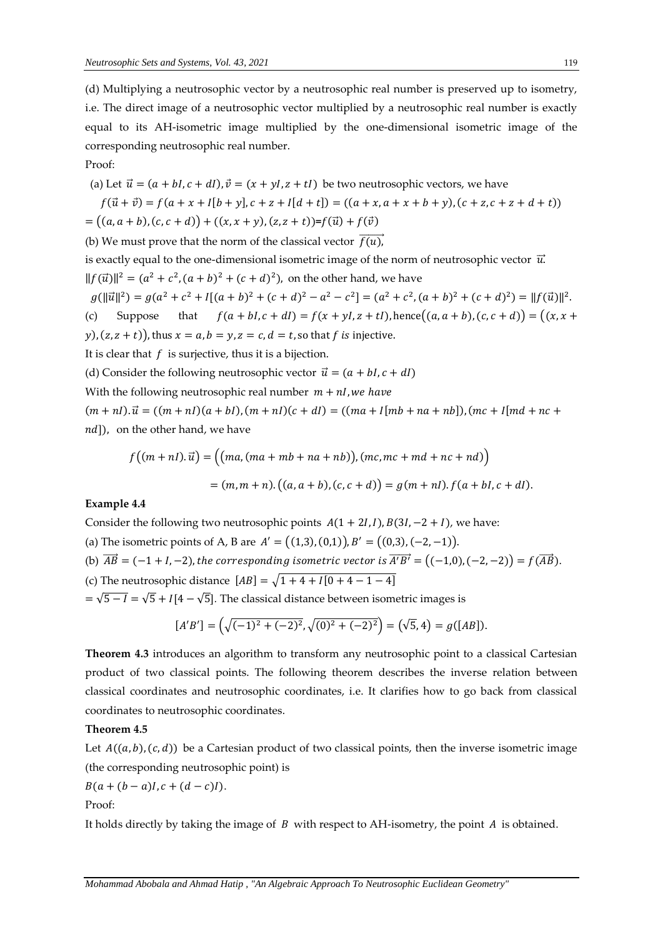(d) Multiplying a neutrosophic vector by a neutrosophic real number is preserved up to isometry, i.e. The direct image of a neutrosophic vector multiplied by a neutrosophic real number is exactly equal to its AH-isometric image multiplied by the one-dimensional isometric image of the corresponding neutrosophic real number.

Proof:

(a) Let 
$$
\vec{u} = (a + bI, c + dI)
$$
,  $\vec{v} = (x + yI, z + tI)$  be two neutrosophic vectors, we have  
\n
$$
f(\vec{u} + \vec{v}) = f(a + x + I[b + y], c + z + I[d + t]) = ((a + x, a + x + b + y), (c + z, c + z + d + t))
$$
\n
$$
= ((a, a + b), (c, c + d)) + ((x, x + y), (z, z + t)) = f(\vec{u}) + f(\vec{v})
$$

(b) We must prove that the norm of the classical vector  $\overrightarrow{f(u)}$ , is exactly equal to the one-dimensional isometric image of the norm of neutrosophic vector  $\vec{u}$ .  $||f(\vec{u})||^2 = (a^2 + c^2, (a + b)^2 + (c + d)^2)$ , on the other hand, we have

 $g(\|\vec{u}\|^2) = g(a^2 + c^2 + I[(a+b)^2 + (c+d)^2 - a^2 - c^2] = (a^2 + c^2, (a+b)^2 + (c+d)^2) = ||f(\vec{u})||^2$ . (c) Suppose that  $f(a + bl, c + dl) = f(x + yl, z + tl)$ , hence $((a, a + b), (c, c + d)) = ((x, x + b))$ 

 $(y)$ ,  $(z, z + t)$ , thus  $x = a$ ,  $b = y$ ,  $z = c$ ,  $d = t$ , so that f is injective.

It is clear that  $f$  is surjective, thus it is a bijection.

(d) Consider the following neutrosophic vector  $\vec{u} = (a + bI, c + dI)$ 

With the following neutrosophic real number  $m + nI$ , we have

 $(m + nI) \cdot \vec{u} = ((m + nI)(a + bl), (m + nI)(c + dl) = ((ma + I[mb + na + nb]), (mc + I[md + nc + b])$  $nd$ ]), on the other hand, we have

$$
f\big((m+nl).\vec{u}\big) = \big((ma,(ma+mb+na+nb)),(mc,mc+md+nc+nd)\big)
$$

$$
= (m, m+n).((a, a+b), (c, c+d)) = g(m+nI).f(a+bl, c+dI).
$$

### **Example 4.4**

Consider the following two neutrosophic points  $A(1 + 2I, I), B(3I, -2 + I)$ , we have:

(a) The isometric points of A, B are  $A' = ((1,3), (0,1)), B' = ((0,3), (-2, -1)).$ 

(b)  $\overrightarrow{AB}$  = (-1 + I, -2), the corresponding isometric vector is  $\overrightarrow{A'B'}$  = ((-1,0), (-2,-2)) =  $f(\overrightarrow{AB})$ .

(c) The neutrosophic distance  $[AB] = \sqrt{1 + 4 + I[0 + 4 - 1 - 4]}$ 

 $=\sqrt{5 - I} = \sqrt{5} + I[4 - \sqrt{5}]$ . The classical distance between isometric images is

$$
[A'B'] = \left(\sqrt{(-1)^2 + (-2)^2}, \sqrt{(0)^2 + (-2)^2}\right) = \left(\sqrt{5}, 4\right) = g([AB]).
$$

**Theorem 4.3** introduces an algorithm to transform any neutrosophic point to a classical Cartesian product of two classical points. The following theorem describes the inverse relation between classical coordinates and neutrosophic coordinates, i.e. It clarifies how to go back from classical coordinates to neutrosophic coordinates.

## **Theorem 4.5**

Let  $A((a, b), (c, d))$  be a Cartesian product of two classical points, then the inverse isometric image (the corresponding neutrosophic point) is

$$
B(a+(b-a)I,c+(d-c)I).
$$

Proof:

It holds directly by taking the image of  $B$  with respect to AH-isometry, the point  $A$  is obtained.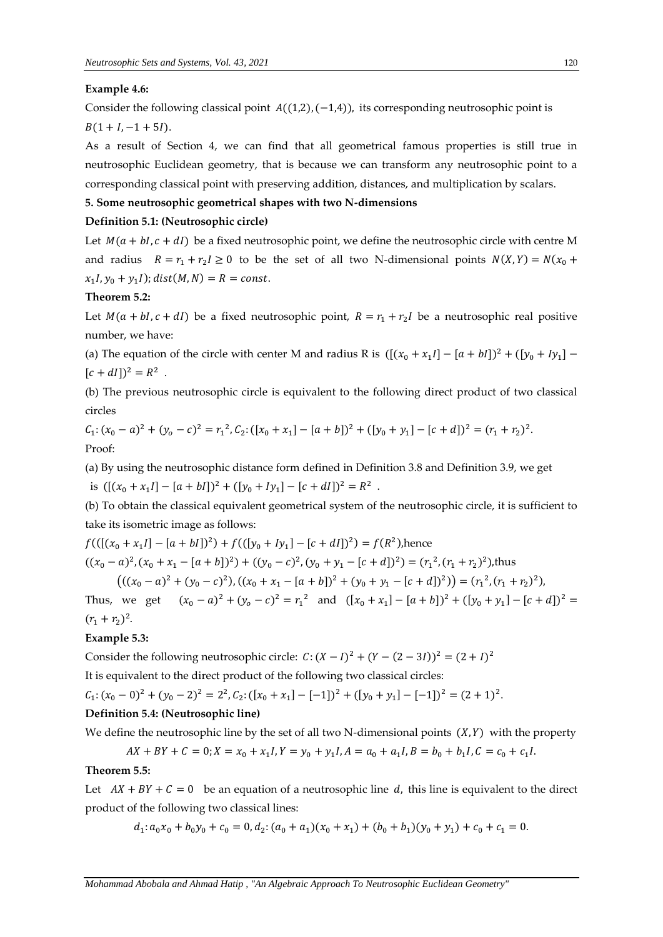#### **Example 4.6:**

Consider the following classical point  $A((1,2), (-1,4))$ , its corresponding neutrosophic point is  $B(1 + I, -1 + 5I).$ 

As a result of Section 4, we can find that all geometrical famous properties is still true in neutrosophic Euclidean geometry, that is because we can transform any neutrosophic point to a corresponding classical point with preserving addition, distances, and multiplication by scalars.

## **5. Some neutrosophic geometrical shapes with two N-dimensions**

#### **Definition 5.1: (Neutrosophic circle)**

Let  $M(a + bI, c + dI)$  be a fixed neutrosophic point, we define the neutrosophic circle with centre M and radius  $R = r_1 + r_2 I \ge 0$  to be the set of all two N-dimensional points  $N(X, Y) = N(x_0 +$  $x_1I, y_0 + y_1I$ );  $dist(M, N) = R = const.$ 

#### **Theorem 5.2:**

Let  $M(a + bl, c + dl)$  be a fixed neutrosophic point,  $R = r_1 + r_2I$  be a neutrosophic real positive number, we have:

(a) The equation of the circle with center M and radius R is  $([(x_0 + x_1I) - [a + bI])^2 + ([y_0 + Iy_1] [c + dl])^2 = R^2$ .

(b) The previous neutrosophic circle is equivalent to the following direct product of two classical circles

$$
C_1: (x_0 - a)^2 + (y_0 - c)^2 = r_1^2, C_2: ([x_0 + x_1] - [a + b])^2 + ([y_0 + y_1] - [c + d])^2 = (r_1 + r_2)^2.
$$
  
Proof:

(a) By using the neutrosophic distance form defined in Definition 3.8 and Definition 3.9, we get is  $([(x_0 + x_1I] - [a + bl])^2 + ([y_0 + ly_1] - [c + dl])^2 = R^2$ .

(b) To obtain the classical equivalent geometrical system of the neutrosophic circle, it is sufficient to take its isometric image as follows:

 $f(([x_0 + x_1I] - [a + bI])^2) + f(([y_0 + ly_1] - [c + dI])^2) = f(R^2)$ ,hence  $((x_0 - a)^2, (x_0 + x_1 - [a + b])^2) + ((y_0 - c)^2, (y_0 + y_1 - [c + d])^2) = (r_1^2, (r_1 + r_2)^2)$ , thus  $((x_0 - a)^2 + (y_0 - c)^2), ((x_0 + x_1 - [a + b])^2 + (y_0 + y_1 - [c + d])^2) = (r_1^2, (r_1 + r_2)^2)$ 

Thus, we get  $(x_0 - a)^2 + (y_0 - c)^2 = r_1^2$  and  $([x_0 + x_1] - [a + b])^2 + ([y_0 + y_1] - [c + d])^2 =$  $(r_1 + r_2)^2$ .

#### **Example 5.3:**

Consider the following neutrosophic circle:  $C: (X - I)^2 + (Y - (2 - 3I))^2 = (2 + I)^2$ 

It is equivalent to the direct product of the following two classical circles:

$$
\mathcal{C}_1: (x_0 - 0)^2 + (y_0 - 2)^2 = 2^2, \mathcal{C}_2: ([x_0 + x_1] - [-1])^2 + ([y_0 + y_1] - [-1])^2 = (2 + 1)^2.
$$

#### **Definition 5.4: (Neutrosophic line)**

We define the neutrosophic line by the set of all two N-dimensional points  $(X, Y)$  with the property

$$
AX + BY + C = 0; X = x_0 + x_1I, Y = y_0 + y_1I, A = a_0 + a_1I, B = b_0 + b_1I, C = c_0 + c_1I.
$$

#### **Theorem 5.5:**

Let  $AX + BY + C = 0$  be an equation of a neutrosophic line d, this line is equivalent to the direct product of the following two classical lines:

$$
d_1: a_0x_0 + b_0y_0 + c_0 = 0, d_2: (a_0 + a_1)(x_0 + x_1) + (b_0 + b_1)(y_0 + y_1) + c_0 + c_1 = 0.
$$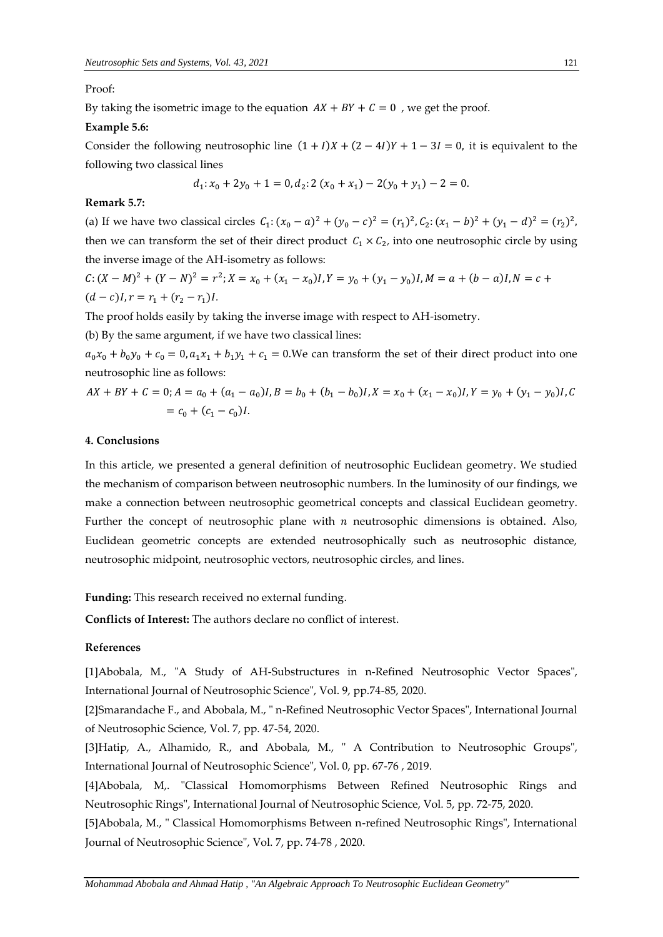Proof:

By taking the isometric image to the equation  $AX + BY + C = 0$ , we get the proof.

#### **Example 5.6:**

Consider the following neutrosophic line  $(1 + I)X + (2 - 4I)Y + 1 - 3I = 0$ , it is equivalent to the following two classical lines

$$
d_1: x_0 + 2y_0 + 1 = 0, d_2: 2(x_0 + x_1) - 2(y_0 + y_1) - 2 = 0.
$$

### **Remark 5.7:**

(a) If we have two classical circles  $C_1$ :  $(x_0 - a)^2 + (y_0 - c)^2 = (r_1)^2$ ,  $C_2$ :  $(x_1 - b)^2 + (y_1 - d)^2 = (r_2)^2$ , then we can transform the set of their direct product  $C_1 \times C_2$ , into one neutrosophic circle by using the inverse image of the AH-isometry as follows:

$$
C: (X - M)^2 + (Y - N)^2 = r^2; X = x_0 + (x_1 - x_0)I, Y = y_0 + (y_1 - y_0)I, M = a + (b - a)I, N = c + (d - c)I, r = r_1 + (r_2 - r_1)I.
$$

The proof holds easily by taking the inverse image with respect to AH-isometry.

(b) By the same argument, if we have two classical lines:

 $a_0x_0 + b_0y_0 + c_0 = 0$ ,  $a_1x_1 + b_1y_1 + c_1 = 0$ . We can transform the set of their direct product into one neutrosophic line as follows:

$$
AX + BY + C = 0; A = a_0 + (a_1 - a_0)I, B = b_0 + (b_1 - b_0)I, X = x_0 + (x_1 - x_0)I, Y = y_0 + (y_1 - y_0)I, C
$$
  
= c\_0 + (c\_1 - c\_0)I.

#### **4. Conclusions**

In this article, we presented a general definition of neutrosophic Euclidean geometry. We studied the mechanism of comparison between neutrosophic numbers. In the luminosity of our findings, we make a connection between neutrosophic geometrical concepts and classical Euclidean geometry. Further the concept of neutrosophic plane with  $n$  neutrosophic dimensions is obtained. Also, Euclidean geometric concepts are extended neutrosophically such as neutrosophic distance, neutrosophic midpoint, neutrosophic vectors, neutrosophic circles, and lines.

**Funding:** This research received no external funding.

**Conflicts of Interest:** The authors declare no conflict of interest.

#### **References**

[1]Abobala, M., "A Study of AH-Substructures in n-Refined Neutrosophic Vector Spaces", International Journal of Neutrosophic Science", Vol. 9, pp.74-85, 2020.

[2]Smarandache F., and Abobala, M., " n-Refined Neutrosophic Vector Spaces", International Journal of Neutrosophic Science, Vol. 7, pp. 47-54, 2020.

[3]Hatip, A., Alhamido, R., and Abobala, M., " A Contribution to Neutrosophic Groups", International Journal of Neutrosophic Science", Vol. 0, pp. 67-76 , 2019.

[4]Abobala, M,. "Classical Homomorphisms Between Refined Neutrosophic Rings and Neutrosophic Rings", International Journal of Neutrosophic Science, Vol. 5, pp. 72-75, 2020.

[5]Abobala, M., " Classical Homomorphisms Between n-refined Neutrosophic Rings", International Journal of Neutrosophic Science", Vol. 7, pp. 74-78 , 2020.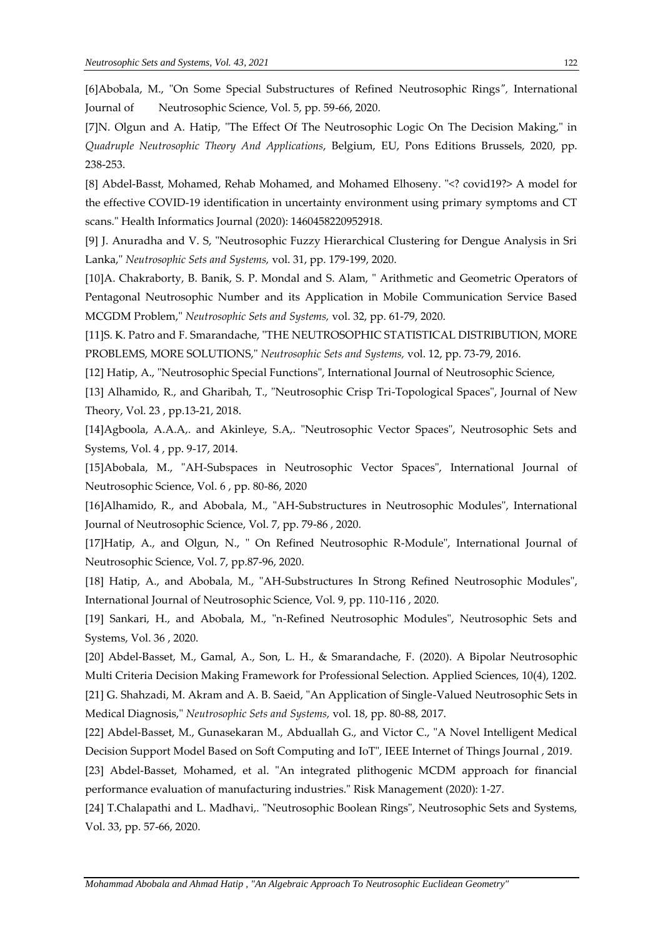[6]Abobala, M., "On Some Special Substructures of Refined Neutrosophic Rings*",* International Journal of Neutrosophic Science, Vol. 5, pp. 59-66, 2020.

[7]N. Olgun and A. Hatip, "The Effect Of The Neutrosophic Logic On The Decision Making," in *Quadruple Neutrosophic Theory And Applications*, Belgium, EU, Pons Editions Brussels, 2020, pp. 238-253.

[8] Abdel-Basst, Mohamed, Rehab Mohamed, and Mohamed Elhoseny. "<? covid19?> A model for the effective COVID-19 identification in uncertainty environment using primary symptoms and CT scans." Health Informatics Journal (2020): 1460458220952918.

[9] J. Anuradha and V. S, "Neutrosophic Fuzzy Hierarchical Clustering for Dengue Analysis in Sri Lanka," *Neutrosophic Sets and Systems,* vol. 31, pp. 179-199, 2020.

[10]A. Chakraborty, B. Banik, S. P. Mondal and S. Alam, " Arithmetic and Geometric Operators of Pentagonal Neutrosophic Number and its Application in Mobile Communication Service Based MCGDM Problem," *Neutrosophic Sets and Systems,* vol. 32, pp. 61-79, 2020.

[11]S. K. Patro and F. Smarandache, "THE NEUTROSOPHIC STATISTICAL DISTRIBUTION, MORE PROBLEMS, MORE SOLUTIONS," *Neutrosophic Sets and Systems,* vol. 12, pp. 73-79, 2016.

[12] Hatip, A., "Neutrosophic Special Functions", International Journal of Neutrosophic Science,

[13] Alhamido, R., and Gharibah, T., "Neutrosophic Crisp Tri-Topological Spaces", Journal of New Theory, Vol. 23 , pp.13-21, 2018.

[14]Agboola, A.A.A,. and Akinleye, S.A,. "Neutrosophic Vector Spaces", Neutrosophic Sets and Systems, Vol. 4 , pp. 9-17, 2014.

[15]Abobala, M., "AH-Subspaces in Neutrosophic Vector Spaces", International Journal of Neutrosophic Science, Vol. 6 , pp. 80-86, 2020

[16]Alhamido, R., and Abobala, M., "AH-Substructures in Neutrosophic Modules", International Journal of Neutrosophic Science, Vol. 7, pp. 79-86 , 2020.

[17]Hatip, A., and Olgun, N., " On Refined Neutrosophic R-Module", International Journal of Neutrosophic Science, Vol. 7, pp.87-96, 2020.

[18] Hatip, A., and Abobala, M., "AH-Substructures In Strong Refined Neutrosophic Modules", International Journal of Neutrosophic Science, Vol. 9, pp. 110-116 , 2020.

[19] Sankari, H., and Abobala, M., "n-Refined Neutrosophic Modules", Neutrosophic Sets and Systems, Vol. 36 , 2020.

[20] Abdel-Basset, M., Gamal, A., Son, L. H., & Smarandache, F. (2020). A Bipolar Neutrosophic Multi Criteria Decision Making Framework for Professional Selection. Applied Sciences, 10(4), 1202.

[21] G. Shahzadi, M. Akram and A. B. Saeid, "An Application of Single-Valued Neutrosophic Sets in Medical Diagnosis," *Neutrosophic Sets and Systems,* vol. 18, pp. 80-88, 2017.

[22] Abdel-Basset, M., Gunasekaran M., Abduallah G., and Victor C., "A Novel Intelligent Medical Decision Support Model Based on Soft Computing and IoT", IEEE Internet of Things Journal , 2019.

[23] Abdel-Basset, Mohamed, et al. "An integrated plithogenic MCDM approach for financial performance evaluation of manufacturing industries." Risk Management (2020): 1-27.

[24] T.Chalapathi and L. Madhavi,. "Neutrosophic Boolean Rings", Neutrosophic Sets and Systems, Vol. 33, pp. 57-66, 2020.